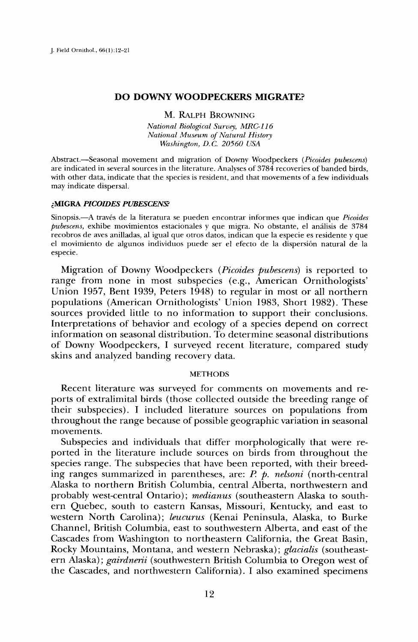### **DO DOWNY WOODPECKERS MIGRATE?**

# **M. RALPH BROWNING**

**National Biological Survey, MRC-116 National Museum of Natural History Washington, D.C. 20560 USA** 

Abstract.--Seasonal movement and migration of Downy Woodpeckers (Picoides pubescens) **are indicated in several sources in the literature. Analyses of 3784 recoveries of banded birds, with other data, indicate that the species is resident, and that movements of a few individuals may indicate dispersal.** 

### **•MIGRA PICOIDES PUBESCEN•**

Sinopsis.—A través de la literatura se pueden encontrar informes que indican que *Picoides* pubescens, exhibe movimientos estacionales y que migra. No obstante, el análisis de 3784 **recobros de aves anilladas, al igual que otros datos, indican que la especie es residente y que el movimiento de algunos individuos puede ser el efecto de la dispersi6n natural de la especie.** 

**Migration of Downy Woodpeckers (Picoides pubescens) is reported to range from none in most subspecies (e.g., American Ornithologists' Union 1957, Bent 1939, Peters 1948) to regular in most or all northern populations (American Ornithologists' Union 1983, Short 1982). These sources provided little to no information to support their conclusions. Interpretations of behavior and ecology of a species depend on correct information on seasonal distribution. To determine seasonal distributions of Downy Woodpeckers, I surveyed recent literature, compared study skins and analyzed banding recovery data.** 

### **METHODS**

**Recent literature was surveyed for comments on movements and reports of extralimital birds (those collected outside the breeding range of their subspecies). Iincluded literattire sources on populations from throughout the range because of possible geographic variation in seasonal movements.** 

**Subspecies and individuals that differ morphologically that were reported in the literature include sources on birds from throughout the**  species range. The subspecies that have been reported, with their breeding ranges summarized in parentheses, are: P. p. nelsoni (north-central **Alaska to northern British Columbia, central Alberta, northwestern and probably west-central Ontario); medianus (southeastern Alaska to southern Quebec, south to eastern Kansas, Missouri, Kentucky, and east to western North Carolina); leucurus (Kenai Peninsula, Alaska, to Burke Channel, British Columbia, east to southwestern Alberta, and east of the Cascades from Washington to northeastern California, the Great Basin, Rocky Mountains, Montana, and western Nebraska); glacialis (southeastern Alaska); gairdnerii (southwestern British Columbia to Oregon west of the Cascades, and northwestern California). I also examined specimens**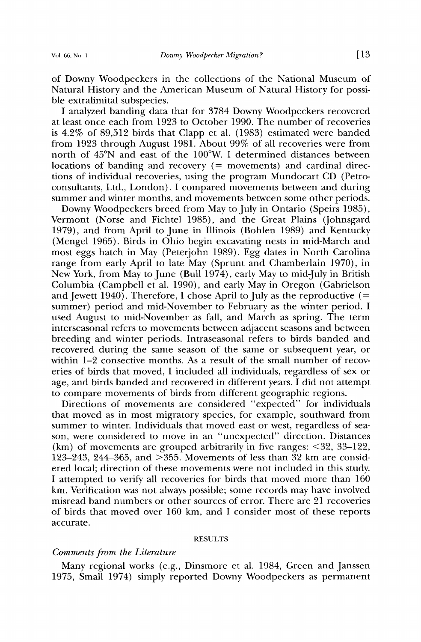**of Downy Woodpeckers in the collections of the National Museum of Natural History and the American Museum of Natural History for possible extralimital subspecies.** 

**I analyzed banding data that for 3784 Downy Woodpeckers recovered at least once each from. 1923 to October 1990. The number of recoveries is 4.2% of 89,512 birds that Clapp et al. (1983) estimated were banded from 1923 through August 1981. About 99% of all recoveries were from north of 45øN and east of the 100øW. I determined distances between locations of banding and recovery (= movements) and cardinal directions of individual recoveries, using the program Mundocart CD (Petroconsultants, Ltd., London). I compared movements between and during summer and winter months, and movements between some other periods.** 

**Downy Woodpeckers breed from May to July in Ontario (Speirs 1985), Vermont (Norse and Fichtel 1985), and the Great Plains (Johnsgard 1979), and from April to June in Illinois (Bohlen 1989) and Kentucky (Mengel 1965). Birds in Ohio begin excavating nests in mid-March and most eggs hatch in May (Peterjohn 1989). Egg dates in North Carolina range from early April to late May (Sprunt and Chamberlain 1970), in New York, from May to June (Bull 1974), early May to mid-July in British Columbia (Campbell et al. 1990), and early May in Oregon (Gabrielson**  and Jewett 1940). Therefore, I chose April to July as the reproductive  $(=$ **summer) period and mid-November to February as the winter period. I used August to mid-November as fall, and March as spring. The term interseasonal refers to movements between adjacent seasons and between breeding and winter periods. Intraseasonal refers to birds banded and recovered during the same season of the same or subsequent year, or**  within 1–2 consective months. As a result of the small number of recov**eries of birds that moved, I included all individuals, regardless of sex or age, and birds banded and recovered in different years. I did not attempt to compare movements of birds from different geographic regions.** 

**Directions of movements are considered "expected" for individuals that moved as in most migratory species, for example, southward from summer to winter. Individuals that moved east or west, regardless of season, were considered to move in an "unexpected" direction. Distances (km) of movements are grouped arbitrarily in five ranges: <32, 33-122, 123-243, 244-365, and >355. Movements of less than 32 km are considered local; direction of these movements were not included in this study. I attempted to verify all recoveries for birds that moved more than 160 km. Verification was not always possible; some records may have involved misread band numbers or other sources of error. There are 21 recoveries of birds that moved over 160 km, and I consider most of these reports accurate.** 

#### **RESULTS**

## **Comments from the Literature**

**Many regional works (e.g., Dinsmore et al. 1984, Green and Janssen 1975, Small 1974) simply reported Downy Woodpeckers as permanent**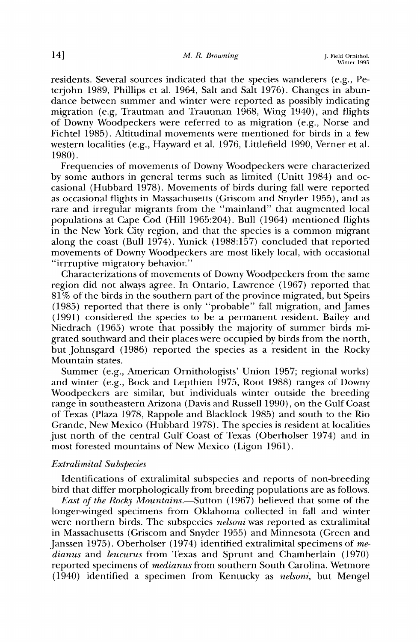**residents. Several sources indicated that the species wanderers (e.g., Peterjohn 1989, Phillips et al. 1964, Salt and Salt 1976). Changes in abundance between summer and winter were reported as possibly indicating migration (e.g, Trautman and Trautman 1968, Wing 1940), and flights of Downy Woodpeckers were referred to as migration (e.g., Norse and Fichtel 1985). Altitudinal movements were mentioned for birds in a few western localities (e.g., Hayward et al. 1976, Littlefield 1990, Verner et al. 1980).** 

**Frequencies of movements of Downy Woodpeckers were characterized by some authors in general terms such as limited (Unitt 1984) and occasional (Hubbard 1978). Movements of birds during fall were reported as occasional flights in Massachusetts (Griscom and Snyder 1955), and as rare and irregular migrants from the "mainland" that augmented local populations at Cape Cod (Hill 1965:204). Bull (1964) mentioned flights in the New York City region, and that the species is a common migrant along the coast (Bull 1974). Yunick (1988:157) concluded that reported movements of Downy Woodpeckers are most likely local, with occasional "irrruptive migratory behavior."** 

**Characterizations of movements of Downy Woodpeckers from the same region did not always agree. In Ontario, Lawrence (1967) reported that 81% of the birds in the southern part of the province migrated, but Speirs (1985) reported that there is only "probable" fall migration, and James (1991) considered the species to be a permanent resident. Bailey and Niedrach (1965) wrote that possibly the majority of summer birds migrated southward and their places were occupied by birds from the north, but Johnsgard (1986) reported the species as a resident in the Rocky Mountain states.** 

**Summer (e.g., American Ornithologists' Union 1957; regional works) and winter (e.g., Bock and Lepthien 1975, Root 1988) ranges of Downy Woodpeckers are similar, but individuals winter outside the breeding range in southeastern Arizona (Davis and Russell 1990), on the Gulf Coast of Texas (Plaza 1978, Rappole and Blacklock 1985) and south to the Rio Grande, New Mexico (Hubbard 1978). The species is resident at localities just north of the central Gulf Coast of Texas (Oberholser 1974) and in most forested mountains of New Mexico (Ligon 1961).** 

## **Extralimital Subspecies**

**Identifications of extralimital subspecies and reports of non-breeding bird that differ morphologically from breeding populations are as follows.** 

East of the Rocky Mountains.-Sutton (1967) believed that some of the **longer-winged specimens from Oklahoma collected in fall and winter were northern birds. The subspecies nelsoni was reported as extralimital in Massachusetts (Griscom and Snyder 1955) and Minnesota (Green and Janssen 1975). Oberholser (1974) identified extralimital specimens of medianus and leucurus from Texas and Sprunt and Chamberlain (1970) reported specimens of medianus from southern South Carolina. Wetmore (1940) identified a specimen from Kentucky as nelsoni, but Mengel**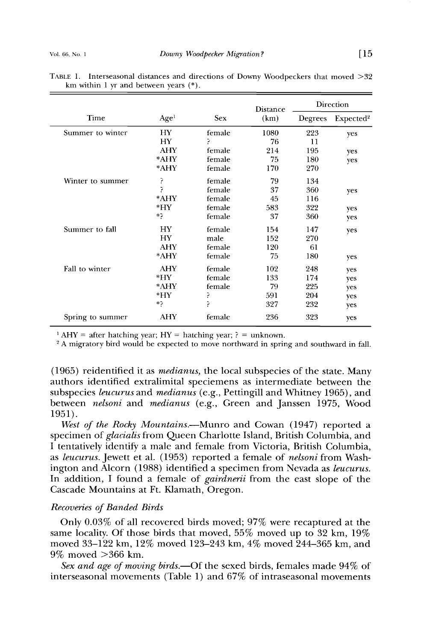|                  |                  |        | <b>Distance</b> |         | Direction             |
|------------------|------------------|--------|-----------------|---------|-----------------------|
| Time             | Age <sup>1</sup> | Sex    | (km)            | Degrees | Expected <sup>2</sup> |
| Summer to winter | HY.              | female | 1080            | 223     | yes                   |
|                  | HY               | P      | 76              | 11      |                       |
|                  | AHY              | female | 214             | 195     | yes                   |
|                  | *AHY             | female | 75              | 180     | yes                   |
|                  | *AHY             | female | 170             | 270     |                       |
| Winter to summer | 5                | female | 79              | 134     |                       |
|                  | Þ                | female | 37              | 360     | yes                   |
|                  | *AHY             | female | 45              | 116     |                       |
|                  | $*$ HY           | female | 583             | 322     | yes                   |
|                  | *?               | female | 37              | 360     | yes                   |
| Summer to fall   | НY               | female | 154             | 147     | yes                   |
|                  | HY               | male   | 152             | 270     |                       |
|                  | <b>AHY</b>       | female | 120             | 61      |                       |
|                  | *AHY             | female | 75              | 180     | yes                   |
| Fall to winter   | <b>AHY</b>       | female | 102             | 248     | yes                   |
|                  | *HY              | female | 133             | 174     | yes                   |
|                  | *AHY             | female | 79              | 225     | yes                   |
|                  | *HY              | ?      | 591             | 204     | yes                   |
|                  | *?               | ς      | 327             | 232     | yes                   |
| Spring to summer | <b>AHY</b>       | female | 236             | 323     | yes                   |

TABLE 1. Interseasonal distances and directions of Downy Woodpeckers that moved  $>32$ **km within 1 yr and between years (\*).** 

<sup>1</sup> AHY = after hatching year;  $HY = \text{hatching year}$ ; ? = unknown.

<sup>2</sup> A migratory bird would be expected to move northward in spring and southward in fall.

**(1965) reidentitled it as medianus, the local subspecies of the state. Many authors identified extralimital speciemens as intermediate between the subspecies leucurus and medianus (e.g., Pettingill and Whitney 1965), and between nelsoni and medianus (e.g., Green and Janssen 1975, Wood 1951).** 

West of the Rocky Mountains.—Munro and Cowan (1947) reported a **specimen of glacialis from Queen Charlotte Island, British Columbia, and I tentatively identify a male and female from Victoria, British Columbia, as leucurus. Jewett et al. (1953) reported a female of nelsoni from Washington and Alcorn (1988) identified a specimen from Nevada as leucurus. In addition, I found a female of gairdnerii from the east slope of the Cascade Mountains at Ft. Klamath, Oregon.** 

#### **Recoveries of Banded Birds**

**Only 0.03% of all recovered birds moved; 97% were recaptured at the same locality. Of those birds that moved, 55% moved up to 32 km, 19% moved 33-122 km, 12% moved 123-243 km, 4% moved 244-365 km, and 9% moved >366 km.** 

Sex and age of moving birds.—Of the sexed birds, females made  $94\%$  of **interseasonal movements (Table 1) and 67% of intraseasonal movements**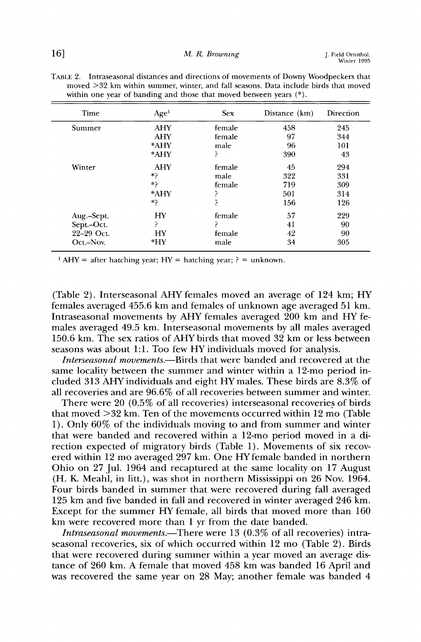| Time                     | Age <sup>1</sup> | <b>Sex</b> | Distance (km) | Direction |
|--------------------------|------------------|------------|---------------|-----------|
| Summer                   | <b>AHY</b>       | female     | 458           | 245       |
|                          | AHY              | female     | 97            | 344       |
|                          | *AHY             | male       | 96            | 101       |
|                          | *AHY             | ė.         | 390           | 43        |
| Winter                   | <b>AHY</b>       | female     | 45            | 294       |
|                          | *?               | male       | 322           | 331       |
|                          | *?               | female     | 719           | 309       |
|                          | *AHY             | Ρ          | 501           | 314       |
|                          | *?               | ς          | 156           | 126       |
|                          | HY               | female     | 57            | 229       |
| Aug.–Sept.<br>Sept.–Oct. | 5                | ⋗          | 41            | 90        |
| 22-29 Oct.               | HY               | female     | 42            | 90        |
| Oct.-Nov.                | $*$ HY           | male       | 34            | 305       |

**TABLE 2. Intraseasonal distances and directions of movements of Downy Woodpeckers that**  moved  $>32$  km within summer, winter, and fall seasons. Data include birds that moved **within one year of banding and those that moved between years (\*).** 

<sup>1</sup> AHY = after hatching year; HY = hatching year;  $? =$  unknown.

**(Table 2). Interseasonal AHY females moved an average of 124 km; HY females averaged 455.6 km and females of unknown age averaged 51 km. Intraseasonal movements by AHY females averaged 200 km and HY females averaged 49.5 km. Interseasonal movements by all males averaged 150.6 kin. The sex ratios of AHY birds that moved 32 km or less between seasons was about 1:1. Too few HY individuals moved for analysis.** 

**Interseasonal movements.--Birds that were banded and recovered at the same locality between the summer and winter within a 12-mo period included 313 AHY individuals and eight HY males. These birds are 8.3% of all recoveries and are 96.6% of all recoveries between summer and winter.** 

**There were 20 (0.5% of all recoveries) interseasonal recoveries of birds that moved >32 kin. Ten of the movements occurred within 12 mo (Table 1). Only 60% of the individuals moving to and from summer and winter that were banded and recovered within a 12-mo period moved in a direction expected of migratory birds (Table 1). Movements of six recovered within 12 mo averaged 297 km. One HYfemale banded in northern Ohio on 27 Jul. 1964 and recaptured at the same locality on 17 August (H. K. Meahl, in litt.), was shot in northern Mississippi on 26 Nov. 1964. Four birds banded in summer that were recovered during fall averaged 125 km and five banded in fall and recovered in winter averaged 246 km. Except for the summer HY female, all birds that moved more than 160 km were recovered more than 1 yr from the date banded.** 

*Intraseasonal movements.*—There were 13 (0.3% of all recoveries) intra**seasonal recoveries, six of which occurred within 12 mo (Table 2). Birds that were recovered during summer within a year moved an average distance of 260 km. A female that moved 458 km was banded 16 April and was recovered the same year on 28 May; another female was banded 4**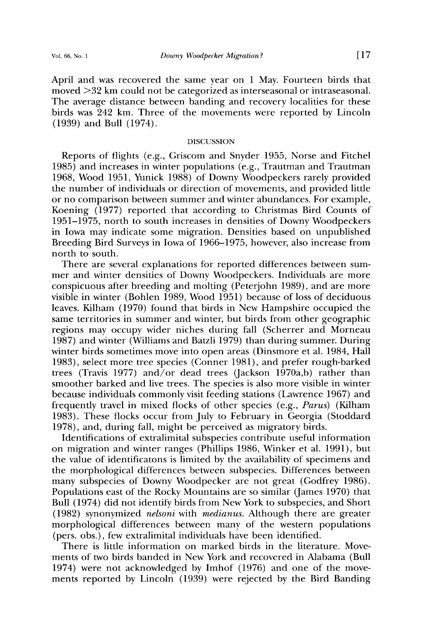**April and was recovered the same year on 1 May. Fourteen birds that moved >32 km could not be categorized as interseasonal or intraseasonal. The average distance between banding and recovery localities for these birds was 242 km. Three of the movements were reported by Lincoln (1939) and Bull (1974).** 

## **DISCUSSION**

**Reports of flights (e.g., Griscom and Snyder 1955, Norse and Fitchel 1985) and increases in winter populations (e.g., Trautman and Trautman 1968, Wood 1951, Yunick 1988) of Downy Woodpeckers rarely provided the number of individuals or direction of movements, and provided little or no comparison between summer and winter abundances. For example, Koening (1977) reported that according to Christmas Bird Counts of 1951-1975, north to south increases in densities of Downy Woodpeckers in Iowa may indicate some migration. Densities based on unpublished Breeding Bird Surveys in Iowa of 1966-1975, however, also increase from north to south.** 

**There are several explanations for reported differences between summer and winter densities of Downy Woodpeckers. Individuals are more conspicuous after breeding and molting (Peterjohn 1989), and are more visible in winter (Bohlen 1989, Wood 1951) because of loss of deciduous leaves. Kilham (1970) found that birds in New Hampshire occupied the same territories in summer and winter, but birds from other geographic regions may occupy wider niches during fall (Scherrer and Morneau 1987) and winter (Williams and Batzli 1979) than during summer. During winter birds sometimes move into open areas (Dinsmore et al. 1984, Hall 1983), select more tree species (Conner 1981), and prefer rough-barked trees (Travis 1977) and/or dead trees (Jackson 1970a,b) rather than smoother barked and live trees. The species is also more visible in winter because individuals commonly visit feeding stations (Lawrence 1967) and frequently travel in mixed flocks of other species (e.g., Parus) (Kilham 1983). These flocks occur from July to February in Georgia (Stoddard 1978), and, during fall, might be perceived as migratory birds.** 

**Identifications of extralimital subspecies contribute useful information on migration and winter ranges (Phillips 1986, Winker et al. 1991), but the value of identificatons is limited by the availability of specimens and the morphological differences between subspecies. Differences between many subspecies of Downy Woodpecker are not great (Godfrey 1986). Populations east of the Rocky Mountains are so similar (James 1970) that Bull (1974) did not identify birds from New York to subspecies, and Short (1982) synonymized nelsoni with medianus. Although there are greater morphological differences between many of the western populations (pers. obs.), few extralimital individuals have been identified.** 

**There is little information on marked birds in the literature. Movements of two birds banded in New York and recovered in Alabama (Bull 1974) were not acknowledged by Imhof (1976) and one of the movements reported by Lincoln (1939) were rejected by the Bird Banding**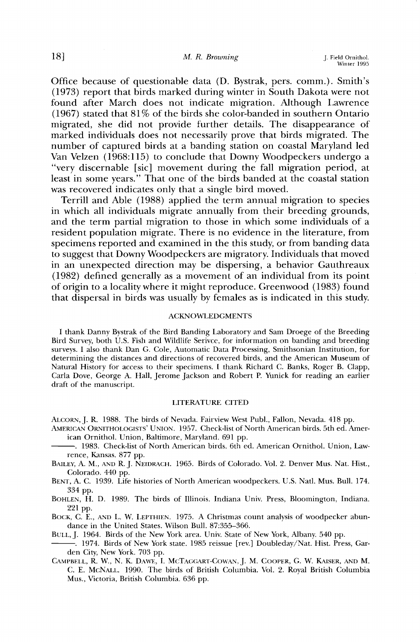**Office because of questionable data (D. Bystrak, pers. comm.). Smith's (1973) report that birds marked during winter in South Dakota were not found after March does not indicate migration. Although Lawrence (1967) stated that 81% of the birds she color-banded in southern Ontario migrated, she did not provide further details. The disappearance of marked individuals does not necessarily prove that birds migrated. The number of captured birds at a banding station on coastal Maryland led Van Velzen (1968:115) to conclude that Downy Woodpeckers undergo a "very discernable [sic] movement during the fall migration period, at least in some years." That one of the birds banded at the coastal station was recovered indicates only that a single bird moved.** 

**Terrill and Able (1988) applied the term annual migration to species in which all individuals migrate annually from their breeding grounds, and the term partial migration to those in which some individuals of a resident population migrate. There is no evidence in the literature, from specimens reported and examined in the this study, or from banding data**  to suggest that Downy Woodpeckers are migratory. Individuals that moved **in an unexpected direction may be dispersing, a behavior Gauthreaux (1982) defined generally as a movement of an individual from its point of origin to a locality where it might reproduce. Greenwood (1983) found that dispersal in birds was usually by females as is indicated in this study.** 

#### **ACKNOWLEDGMENTS**

**I thank Danny Bystrak of the Bird Banding Laboratory and Sam Droege of the Breeding Bird Survey, both U.S. Fish and Wildlife Serivce, for information on banding and breeding surveys. Ialso thank Dan G. Cole, Automatic Data Processing, Smithsonian Institution, for determining the distances and directions of recovered birds, and the American Museum of Natural History for access to their specimens. Ithank Richard C. Banks, Roger B. Clapp, Carla Dove, George A. Hall, Jerome Jackson and Robert P. Yunick for reading an earlier draft of the manuscript.** 

#### **LITERATURE CITED**

ALCORN, J. R. 1988. The birds of Nevada. Fairview West Publ., Fallon, Nevada. 418 pp.

- AMERICAN ORNITHOLOGISTS' UNION. 1957. Check-list of North American birds. 5th ed. Amer**ican Ornithol. Union, Baltimore, Maryland. 691 pp.**
- **1983. Check-list of North American birds. 6th ed. American Ornithol. Union, Lawrence, Kansas. 877 pp.**
- BAILEY, A. M., AND R. J. NEIDRACH. 1965. Birds of Colorado. Vol. 2. Denver Mus. Nat. Hist., **Colorado. 440 pp.**

**BENT, A. C. 1939. Life histories of North American woodpeckers. U.S. Natl. Mus. Bull. 174. 334 pp.** 

**BOHLEN, H. D. 1989. The birds of Illinois. Indiana Univ. Press, Bloomington, Indiana. 221 pp.** 

**BOCK, C. E., AND L. W. LEPTHIEN. 1975. A Christmas count analysis of woodpecker abundance in the United States. Wilson Bull. 87:355-366.** 

BULL, J. 1964. Birds of the New York area. Univ. State of New York, Albany. 540 pp.

- **ß 1974. Birds of New York state. 1985 reissue [rev.] Doubleday/Nat. Hist. Press, Garden City, New York. 703 pp.**
- CAMPBELL, R. W., N. K. DAWE, I. MCTAGGART-COWAN, J. M. COOPER, G. W. KAISER, AND M. **C. E. MCNALI.. 1990. The birds of British Columbia. Vol. 2. Royal British Columbia Mus., Victoria, British Columbia. 636 pp.**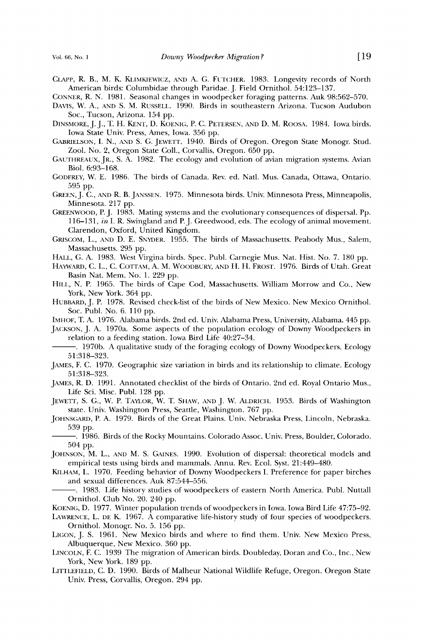- CLAPP, R. B., M. K. KLIMKIEWICZ, AND A. G. FUTCHER. 1983. Longevity records of North **American birds: Columbidae through Paridae. J. Field Ornithol. 54:123-137.**
- **CONNER, R. N. 1981. Seasonal changes in woodpecker foraging patterns. Auk 98:562-570.**
- **DAVIS, W. A., AND S. M. RUSSELL. 1990. Birds in southeastern Arizona. Tucson Audubon Soc., Tucson, Arizona. 154 pp.**
- DINSMORE, J. J., T. H. KENT, D. KOENIG, P. C. PETERSEN, AND D. M. ROOSA. 1984. Iowa birds. **Iowa State Univ. Press, Ames, Iowa. 356 pp.**
- **GABRIELSON, I. N., AND S. G. JEWETT. 1940. Birds of Oregon. Oregon State Monogr. Stud. Zool. No. 2, Oregon State Coil., Corvallis, Oregon. 650 pp.**
- **GAUTHREAUX, JR., S. A. 1982. The ecology and evolution of avian migration systems. Avian Biol. 6:93-168.**
- GODFREY, W. E. 1986. The birds of Canada. Rev. ed. Natl. Mus. Canada, Ottawa, Ontario. **595 pp.**
- GREEN, J. C., AND R. B. JANSSEN. 1975. Minnesota birds. Univ. Minnesota Press, Minneapolis, **Minnesota. 217 pp.**
- **GREENWOOD, P.J. 1983. Mating systems and the evolutionary consequences of dispersal. Pp. 116-131, in I. R. Swingland and P.J. Greedwood, eds. The ecology of animal movement. Clarendon, Oxford, United Kingdom.**
- GRISCOM, L., AND D. E. SNYDER. 1955. The birds of Massachusetts. Peabody Mus., Salem, **Massachusetts. 295 pp.**
- **HALL, G. A. 1983. West Virgina birds. Spec. Publ. Carnegie Mus. Nat. Hist. No. 7. 180 pp.**
- **HAYWARD, C. L., C. COTTAM, A.M. WOODBURY, AND H. H. FROST. 1976. Birds of Utah. Great Basin Nat. Mem. No. 1. 229 pp.**
- HILL, N. P. 1965. The birds of Cape Cod, Massachusetts. William Morrow and Co., New **York, New York. 364 pp.**
- **HUBBARI), J.P. 1978. Revised check-list of the birds of New Mexico. New Mexico Ornithol. Soc. Publ. No. 6. 110 pp.**

**IMHOF, T. A. 1976. Alabama birds. 2nd ed. Univ. Alabama Press, University, Alabama. 445 pp.** 

- **JACKSON, J. A. 1970a. Some aspects of the population ecology of Downy Woodpeckers in relation to a feeding station. Iowa Bird Life 40:27-34.**
- **1970b. A qualitative study of the foraging ecology of Downy Woodpeckers. Ecology 51:318-323.**
- **JAMES, EC. 1970. Geographic size variation in birds and its relationship to climate. Ecology 51:318-323.**
- **JAMES, R. D. 1991. Annotated checklist of the birds of Ontario. 2nd ed. Royal Ontario Mus., Life Sci. Misc. Publ. 128 pp.**
- **JEWETT, S. G., W. P. TAYLOR, W. T. SHAW, AND J. W. ALDRICH. 1953. Birds of Washington state. Univ. Washington Press, Seattle, Washington. 767 pp.**
- JOHNSGARD, P. A. 1979. Birds of the Great Plains. Univ. Nebraska Press, Lincoln, Nebraska. **539 pp.**
- -. 1986. Birds of the Rocky Mountains. Colorado Assoc. Univ. Press, Boulder, Colorado. **504 pp.**
- **JOHNSON, M. L., AND M. S. GAINES. 1990. Evolution of dispersal: theoretical models and empirical tests using birds and mammals. Annu. Rev. Ecol. Syst. 21:449-480.**
- KILHAM, L. 1970. Feeding behavior of Downy Woodpeckers I. Preference for paper birches **and sexual differences. Auk 87:544-556.** 
	- **ß 1983. Life history studies of woodpeckers of eastern North America. Publ. Nuttall Ornithol. Club No. 20. 240 pp.**
- **KOEN•G, D. 1977. Winter population trends of woodpeckers in Iowa. Iowa Bird Life 47:75-92.**
- LAWRENCE, L. DE K. 1967. A comparative life-history study of four species of woodpeckers. **Ornithol. Monogr. No. 5. 156 pp.**
- LIGON, J. S. 1961. New Mexico birds and where to find them. Univ. New Mexico Press, **Albuquerque, New Mexico. 360 pp.**
- LINCOLN, F. C. 1939 The migration of American birds. Doubleday, Doran and Co., Inc., New **York, New York. 189 pp.**
- **LITTLEFmLD, C. D. 1990. Birds of Malheur National Wildlife Refuge, Oregon. Oregon State Univ. Press, Corvallis, Oregon. 294 pp.**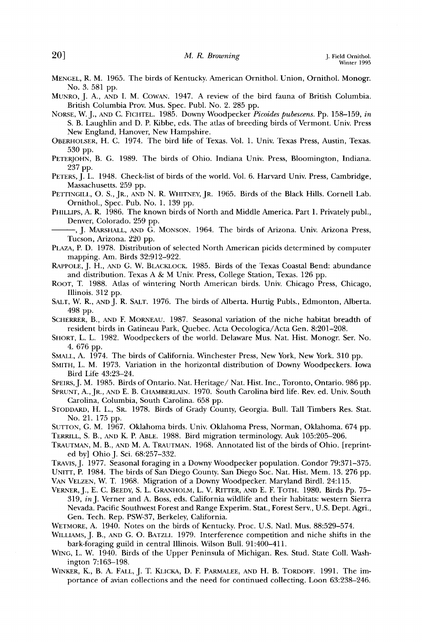- **MENGEL, R. M. 1965. The birds of Kentucky. American Ornithol. Union, Ornithol. Monogr. No. 3. 581 pp.**
- **MUNRO, J. A., AND I. M. COWAN. 1947. A review of the bird fauna of British Columbia. British Columbia Prov. Mus. Spec. Publ. No. 2. 285 pp.**
- **NORSE, W. J., AND C. FICHTEL. 1985. Downy Woodpecker Picoides pubescens. Pp. 158-159, in S. B. Laughlin and D. P. Kibbe, eds. The atlas of breeding birds of Vermont. Univ. Press New England, Hanover, New Hampshire.**
- OBERHOLSER, H. C. 1974. The bird life of Texas. Vol. 1. Univ. Texas Press, Austin, Texas. **530 pp.**
- **PETERJOHN, B. G. 1989. The birds of Ohio. Indiana Univ. Press, Bloomington, Indiana. 237 pp.**
- PETERS,  $\hat{I}$ . L. 1948. Check-list of birds of the world. Vol. 6. Harvard Univ. Press, Cambridge, **Massachusetts. 259 pp.**
- PETTINGILL, O. S., JR., AND N. R. WHITNEY, JR. 1965. Birds of the Black Hills. Cornell Lab. **Ornithol., Spec. Pub. No. 1. 139 pp.**
- **PHILLIPS, A. R. 1986. The known birds of North and Middle America. Part 1. Privately publ., Denver, Colorado. 259 pp.**

-, J. MARSHALL, AND G. MONSON. 1964. The birds of Arizona. Univ. Arizona Press, **Tucson, Arizona. 220 pp.** 

- PLAZA, P. D. 1978. Distribution of selected North American picids determined by computer **mapping. Am. Birds 32:912-922.**
- RAPPOLE, J. H., AND G. W. BLACKLOCK. 1985. Birds of the Texas Coastal Bend: abundance **and distribution. Texas A & M Univ. Press, College Station, Texas. 126 pp.**
- **ROOT, T. 1988. Atlas of wintering North American birds. Univ. Chicago Press, Chicago, Illinois. 312 pp.**
- SALT, W. R., AND J. R. SALT. 1976. The birds of Alberta. Hurtig Publs., Edmonton, Alberta. **498 pp.**
- **SCHERRER, B., AND F. MORNEAU. 1987. Seasonal variation of the niche habitat breadth of resident birds in Gatineau Park, Quebec. Acta Oecologica/Acta Gen. 8:201-208.**
- **SHORT, C. C. 1982. Woodpeckers of the world. Delaware Mus. Nat. Hist. Monogr. Ser. No. 4. 676 pp.**
- SMALL, A. 1974. The birds of California. Winchester Press, New York, New York. 310 pp.
- **SMITH, L. M. 1973. Variation in the horizontal distribution of Downy Woodpeckers. Iowa Bird Life 43:23-24.**
- **SPEIRS, J. M. 1985. Birds of Ontario. Nat. Heritage/Nat. Hist. Inc., Toronto, Ontario. 986 pp.**

SPRUNT, A., [R., AND E. B. CHAMBERLAIN. 1970. South Carolina bird life. Rev. ed. Univ. South **Carolina, Columbia, South Carolina. 658 pp.** 

**STODDARD, H. L., SR. 1978. Birds of Grady County, Georgia. Bull. Tall Timbers Res. Star. No. 21. 175 pp.** 

- **SUTTON, G. M. 1967. Oklahoma birds. Univ. Oklahoma Press, Norman, Oklahoma. 674 pp.**
- **TERRILL, S. B., AND K. P. ABLE. 1988. Bird migration terminology. Auk 105:205-206.**
- TRAUTMAN, M. B., AND M. A. TRAUTMAN. 1968. Annotated list of the birds of Ohio. [reprint**ed by] Ohio J. Sci. 68:257-332.**
- **TRAVIS, J. 1977. Seasonal foraging in a Downy Woodpecker population. Condor 79:371-375.**

**UNITT, P. 1984. The birds of San Diego County. San Diego Soc. Nat. Hist. Mem. 13. 276 pp. VAN VELZEN, W. T. 1968. Migration of a Downy Woodpecker. Maryland Birdl. 24:115.** 

- VERNER, J., E. C. BEEDY, S. L. GRANHOLM, L. V. RITTER, AND E. F. TOTH. 1980. Birds Pp. 75-**319, inJ. Verner and A. Boss, eds. California wildlife and their habitats: western Sierra Nevada. Pacific Southwest Forest and Range Experim. Stat., Forest Serv., U.S. Dept. Agri., Gen. Tech. Rep. PSW-37, Berkeley, California.**
- WETMORE, A. 1940. Notes on the birds of Kentucky. Proc. U.S. Natl. Mus. 88:529-574.
- **WILLIAMS, J. B., AND G. O. BATZLI. 1979. Interference competition and niche shifts in the bark-foraging guild in central Illinois. Wilson Bull. 91:400-411.**
- **WING, L. W. 1940. Birds of the Upper Peninsula of Michigan. Res. Stud. State Coil. Washington 7:163-198.**
- WINKER, K., B. A. FALL, J. T. KLICKA, D. F. PARMALEE, AND H. B. TORDOFF. 1991. The im**portance of avian collections and the need for continued collecting. Loon 63:238-246.**